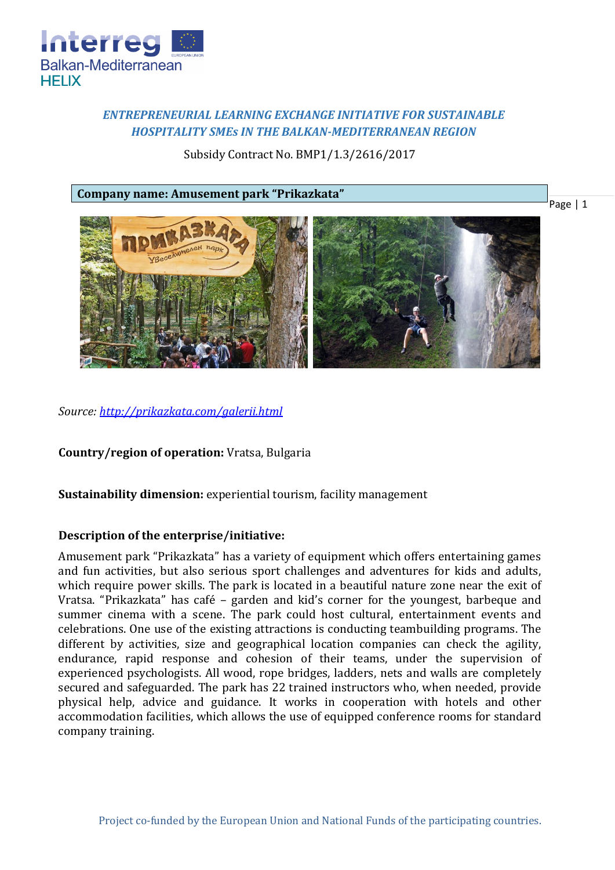

# *ENTREPRENEURIAL LEARNING EXCHANGE INITIATIVE FOR SUSTAINABLE HOSPITALITY SMEs IN THE BALKAN-MEDITERRANEAN REGION*

Subsidy Contract No. BMP1/1.3/2616/2017

**Company name: Amusement park "Prikazkata"**



*Source:<http://prikazkata.com/galerii.html>*

**Country/region of operation:** Vratsa, Bulgaria

**Sustainability dimension:** experiential tourism, facility management

## **Description of the enterprise/initiative:**

Amusement park "Prikazkata" has a variety of equipment which offers entertaining games and fun activities, but also serious sport challenges and adventures for kids and adults, which require power skills. The park is located in a beautiful nature zone near the exit of Vratsa. "Prikazkata" has café – garden and kid's corner for the youngest, barbeque and summer cinema with a scene. The park could host cultural, entertainment events and celebrations. One use of the existing attractions is conducting teambuilding programs. The different by activities, size and geographical location companies can check the agility, endurance, rapid response and cohesion of their teams, under the supervision of experienced psychologists. All wood, rope bridges, ladders, nets and walls are completely secured and safeguarded. The park has 22 trained instructors who, when needed, provide physical help, advice and guidance. It works in cooperation with hotels and other accommodation facilities, which allows the use of equipped conference rooms for standard company training.

Page | 1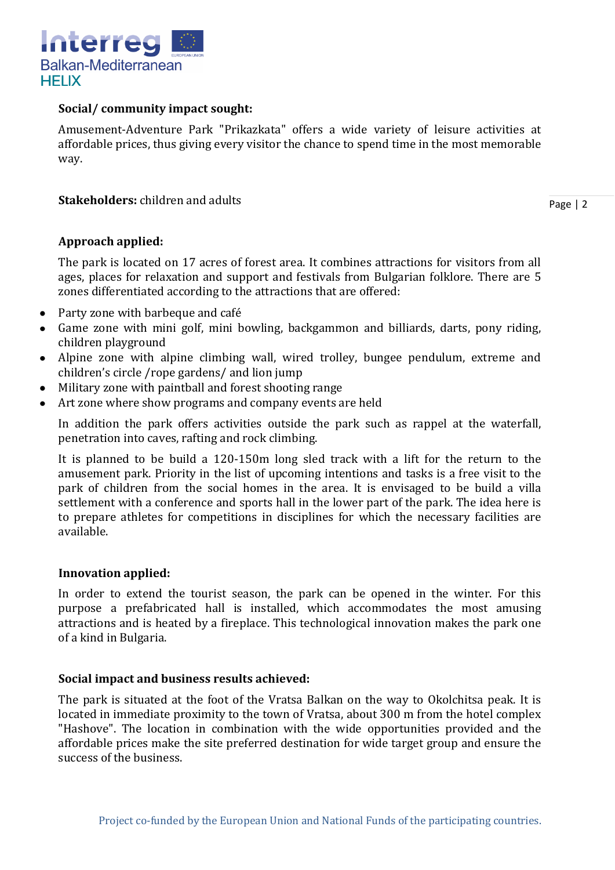

## **Social/ community impact sought:**

Amusement-Adventure Park "Prikazkata" offers a wide variety of leisure activities at affordable prices, thus giving every visitor the chance to spend time in the most memorable way.

## **Stakeholders:** children and adults

Page | 2

## **Approach applied:**

The park is located on 17 acres of forest area. It combines attractions for visitors from all ages, places for relaxation and support and festivals from Bulgarian folklore. There are 5 zones differentiated according to the attractions that are offered:

- Party zone with barbeque and café
- Game zone with mini golf, mini bowling, backgammon and billiards, darts, pony riding, children playground
- Alpine zone with alpine climbing wall, wired trolley, bungee pendulum, extreme and children's circle /rope gardens/ and lion jump
- Military zone with paintball and forest shooting range
- Art zone where show programs and company events are held

In addition the park offers activities outside the park such as rappel at the waterfall, penetration into caves, rafting and rock climbing.

It is planned to be build a 120-150m long sled track with a lift for the return to the amusement park. Priority in the list of upcoming intentions and tasks is a free visit to the park of children from the social homes in the area. It is envisaged to be build a villa settlement with a conference and sports hall in the lower part of the park. The idea here is to prepare athletes for competitions in disciplines for which the necessary facilities are available.

### **Innovation applied:**

In order to extend the tourist season, the park can be opened in the winter. For this purpose a prefabricated hall is installed, which accommodates the most amusing attractions and is heated by a fireplace. This technological innovation makes the park one of a kind in Bulgaria.

### **Social impact and business results achieved:**

The park is situated at the foot of the Vratsa Balkan on the way to Okolchitsa peak. It is located in immediate proximity to the town of Vratsa, about 300 m from the hotel complex "Hashove". The location in combination with the wide opportunities provided and the affordable prices make the site preferred destination for wide target group and ensure the success of the business.